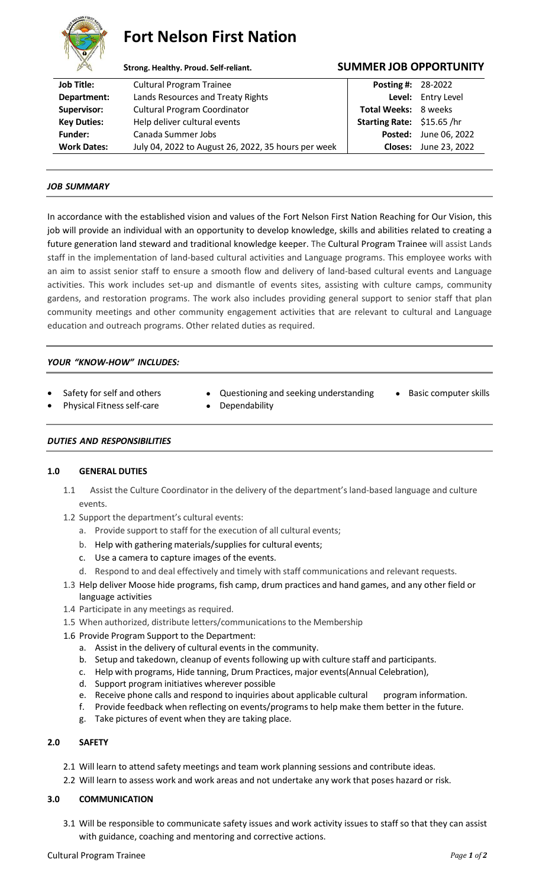

# **Fort Nelson First Nation**

# **Strong. Healthy. Proud. Self-reliant. SUMMER JOB OPPORTUNITY**

| <b>Job Title:</b>  | <b>Cultural Program Trainee</b>                     | <b>Posting #: 28-2022</b>   |                              |
|--------------------|-----------------------------------------------------|-----------------------------|------------------------------|
| Department:        | Lands Resources and Treaty Rights                   |                             | Level: Entry Level           |
| Supervisor:        | <b>Cultural Program Coordinator</b>                 | <b>Total Weeks: 8 weeks</b> |                              |
| <b>Key Duties:</b> | Help deliver cultural events                        | Starting Rate: \$15.65/hr   |                              |
| <b>Funder:</b>     | Canada Summer Jobs                                  |                             | <b>Posted:</b> June 06, 2022 |
| <b>Work Dates:</b> | July 04, 2022 to August 26, 2022, 35 hours per week |                             | <b>Closes:</b> June 23, 2022 |
|                    |                                                     |                             |                              |

# *JOB SUMMARY*

In accordance with the established vision and values of the Fort Nelson First Nation Reaching for Our Vision, this job will provide an individual with an opportunity to develop knowledge, skills and abilities related to creating a future generation land steward and traditional knowledge keeper. The Cultural Program Trainee will assist Lands staff in the implementation of land-based cultural activities and Language programs. This employee works with an aim to assist senior staff to ensure a smooth flow and delivery of land-based cultural events and Language activities. This work includes set-up and dismantle of events sites, assisting with culture camps, community gardens, and restoration programs. The work also includes providing general support to senior staff that plan community meetings and other community engagement activities that are relevant to cultural and Language education and outreach programs. Other related duties as required.

# *YOUR "KNOW-HOW" INCLUDES:*

- 
- Safety for self and others Questioning and seeking understanding Basic computer skills
	-
- Physical Fitness self-care Dependability
- 
- *DUTIES AND RESPONSIBILITIES*

## **1.0 GENERAL DUTIES**

- 1.1 Assist the Culture Coordinator in the delivery of the department's land-based language and culture events.
- 1.2 Support the department's cultural events:
	- a. Provide support to staff for the execution of all cultural events;
	- b. Help with gathering materials/supplies for cultural events;
	- c. Use a camera to capture images of the events.
	- d. Respond to and deal effectively and timely with staff communications and relevant requests.
- 1.3 Help deliver Moose hide programs, fish camp, drum practices and hand games, and any other field or language activities
- 1.4 Participate in any meetings as required.
- 1.5 When authorized, distribute letters/communications to the Membership
- 1.6 Provide Program Support to the Department:
	- a. Assist in the delivery of cultural events in the community.
	- b. Setup and takedown, cleanup of events following up with culture staff and participants.
	- c. Help with programs, Hide tanning, Drum Practices, major events(Annual Celebration),
	- d. Support program initiatives wherever possible
	- e. Receive phone calls and respond to inquiries about applicable cultural program information.
	- f. Provide feedback when reflecting on events/programsto help make them better in the future.
	- g. Take pictures of event when they are taking place.

## **2.0 SAFETY**

- 2.1 Will learn to attend safety meetings and team work planning sessions and contribute ideas.
- 2.2 Will learn to assess work and work areas and not undertake any work that poses hazard or risk.

# **3.0 COMMUNICATION**

3.1 Will be responsible to communicate safety issues and work activity issues to staff so that they can assist with guidance, coaching and mentoring and corrective actions.